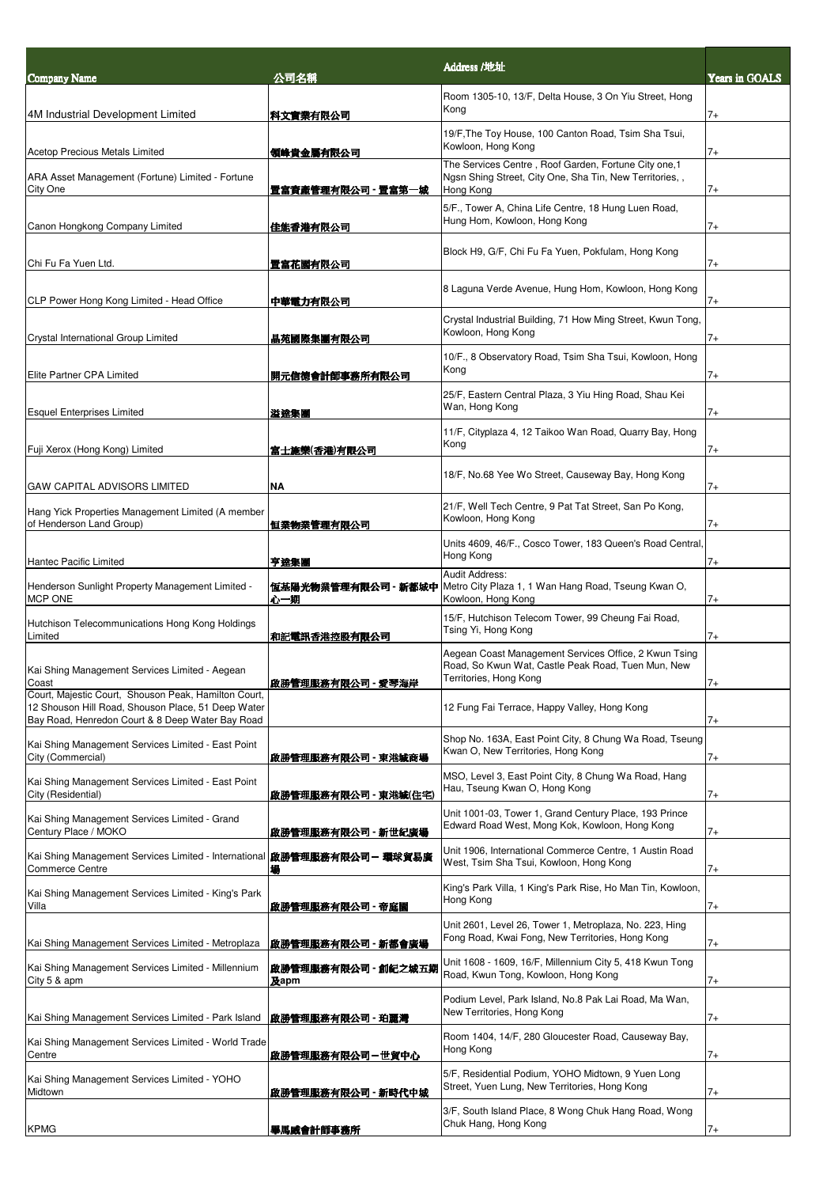| <b>Company Name</b>                                                                                                                                            | 公司名稱                           | Address /地址                                                                                                                           | Years in GOALS |
|----------------------------------------------------------------------------------------------------------------------------------------------------------------|--------------------------------|---------------------------------------------------------------------------------------------------------------------------------------|----------------|
| 4M Industrial Development Limited                                                                                                                              | 科文實業有限公司                       | Room 1305-10, 13/F, Delta House, 3 On Yiu Street, Hong<br>Kong                                                                        | $7+$           |
|                                                                                                                                                                |                                | 19/F, The Toy House, 100 Canton Road, Tsim Sha Tsui,<br>Kowloon, Hong Kong                                                            |                |
| <b>Acetop Precious Metals Limited</b><br>ARA Asset Management (Fortune) Limited - Fortune                                                                      | 領峰貴金屬有限公司                      | The Services Centre, Roof Garden, Fortune City one,1<br>Ngsn Shing Street, City One, Sha Tin, New Territories,,                       | 7+             |
| City One<br>Canon Hongkong Company Limited                                                                                                                     | 置富資產管理有限公司 - 置富第一城<br>佳能香港有限公司 | Hong Kong<br>5/F., Tower A, China Life Centre, 18 Hung Luen Road,<br>Hung Hom, Kowloon, Hong Kong                                     | $7+$<br>$7+$   |
| Chi Fu Fa Yuen Ltd.                                                                                                                                            | 置富花園有限公司                       | Block H9, G/F, Chi Fu Fa Yuen, Pokfulam, Hong Kong                                                                                    | $7+$           |
| CLP Power Hong Kong Limited - Head Office                                                                                                                      | 中華電力有限公司                       | 8 Laguna Verde Avenue, Hung Hom, Kowloon, Hong Kong                                                                                   | $7+$           |
| Crystal International Group Limited                                                                                                                            | 晶苑國際集團有限公司                     | Crystal Industrial Building, 71 How Ming Street, Kwun Tong,<br>Kowloon, Hong Kong                                                     | $7+$           |
| Elite Partner CPA Limited                                                                                                                                      | 開元信德會計師事務所有限公司                 | 10/F., 8 Observatory Road, Tsim Sha Tsui, Kowloon, Hong<br>Kong                                                                       | 7+             |
| <b>Esquel Enterprises Limited</b>                                                                                                                              | 溢達集團                           | 25/F, Eastern Central Plaza, 3 Yiu Hing Road, Shau Kei<br>Wan, Hong Kong                                                              | $7+$           |
| Fuji Xerox (Hong Kong) Limited                                                                                                                                 | 富士施樂(香港)有限公司                   | 11/F, Cityplaza 4, 12 Taikoo Wan Road, Quarry Bay, Hong<br>Kong                                                                       | $7+$           |
| <b>GAW CAPITAL ADVISORS LIMITED</b>                                                                                                                            | <b>NA</b>                      | 18/F, No.68 Yee Wo Street, Causeway Bay, Hong Kong                                                                                    | $7+$           |
| Hang Yick Properties Management Limited (A member<br>of Henderson Land Group)                                                                                  | 恒業物業管理有限公司                     | 21/F, Well Tech Centre, 9 Pat Tat Street, San Po Kong,<br>Kowloon, Hong Kong                                                          | $7+$           |
| Hantec Pacific Limited                                                                                                                                         | 亨達集團                           | Units 4609, 46/F., Cosco Tower, 183 Queen's Road Central,<br>Hong Kong                                                                | 7+             |
| Henderson Sunlight Property Management Limited -<br><b>MCP ONE</b>                                                                                             | 恆基陽光物業管理有限公司 - 新都城中<br>心一期     | Audit Address:<br>Metro City Plaza 1, 1 Wan Hang Road, Tseung Kwan O,<br>Kowloon, Hong Kong                                           | $7+$           |
| Hutchison Telecommunications Hong Kong Holdings<br>Limited                                                                                                     | 和記電訊香港控股有限公司                   | 15/F, Hutchison Telecom Tower, 99 Cheung Fai Road,<br>Tsing Yi, Hong Kong                                                             | $7+$           |
| Kai Shing Management Services Limited - Aegean<br>Coast                                                                                                        | 啟膀嘗埋服務有限公司 - 愛琴海岸              | Aegean Coast Management Services Office, 2 Kwun Tsing<br>Road, So Kwun Wat, Castle Peak Road, Tuen Mun, New<br>Territories, Hong Kong | $^{\prime}$    |
| Court, Majestic Court, Shouson Peak, Hamilton Court,<br>12 Shouson Hill Road, Shouson Place, 51 Deep Water<br>Bay Road, Henredon Court & 8 Deep Water Bay Road |                                | 12 Fung Fai Terrace, Happy Valley, Hong Kong                                                                                          | 7+             |
| Kai Shing Management Services Limited - East Point<br>City (Commercial)                                                                                        | 啟勝管理服務有限公司 - 東港城商場             | Shop No. 163A, East Point City, 8 Chung Wa Road, Tseung<br>Kwan O, New Territories, Hong Kong                                         | 7+             |
| Kai Shing Management Services Limited - East Point<br>City (Residential)                                                                                       | 啟勝管理服務有限公司 - 東港城(住宅)           | MSO, Level 3, East Point City, 8 Chung Wa Road, Hang<br>Hau, Tseung Kwan O, Hong Kong                                                 | 7+             |
| Kai Shing Management Services Limited - Grand<br>Century Place / MOKO                                                                                          | 啟勝管理服務有限公司 - 新世紀廣場             | Unit 1001-03, Tower 1, Grand Century Place, 193 Prince<br>Edward Road West, Mong Kok, Kowloon, Hong Kong                              | $7+$           |
| Kai Shing Management Services Limited - International <b> 啟勝管理服務有限公司 – 環球貿易廣</b><br><b>Commerce Centre</b>                                                     | 場                              | Unit 1906, International Commerce Centre, 1 Austin Road<br>West, Tsim Sha Tsui, Kowloon, Hong Kong                                    | 7+             |
| Kai Shing Management Services Limited - King's Park<br>Villa                                                                                                   | 啟勝管理服務有限公司 - 帝庭園               | King's Park Villa, 1 King's Park Rise, Ho Man Tin, Kowloon,<br>Hong Kong                                                              | 7+             |
| Kai Shing Management Services Limited - Metroplaza                                                                                                             | 啟勝管理服務有限公司 - 新都會廣場             | Unit 2601, Level 26, Tower 1, Metroplaza, No. 223, Hing<br>Fong Road, Kwai Fong, New Territories, Hong Kong                           | $7+$           |
| Kai Shing Management Services Limited - Millennium<br>City 5 & apm                                                                                             | 啟勝管理服務有限公司 - 創紀之城五期<br>及apm    | Unit 1608 - 1609, 16/F, Millennium City 5, 418 Kwun Tong<br>Road, Kwun Tong, Kowloon, Hong Kong                                       | 7+             |
| Kai Shing Management Services Limited - Park Island                                                                                                            | 啟勝管理服務有限公司 - 珀麗灣               | Podium Level, Park Island, No.8 Pak Lai Road, Ma Wan,<br>New Territories, Hong Kong                                                   | $7+$           |
| Kai Shing Management Services Limited - World Trade<br>Centre                                                                                                  | 啟勝管理服務有限公司-世貿中心                | Room 1404, 14/F, 280 Gloucester Road, Causeway Bay,<br>Hong Kong                                                                      | 7+             |
| Kai Shing Management Services Limited - YOHO<br>Midtown                                                                                                        | 啟勝管理服務有限公司 - 新時代中城             | 5/F, Residential Podium, YOHO Midtown, 9 Yuen Long<br>Street, Yuen Lung, New Territories, Hong Kong                                   | $7+$           |
| <b>KPMG</b>                                                                                                                                                    | 畢馬威會計師事務所                      | 3/F, South Island Place, 8 Wong Chuk Hang Road, Wong<br>Chuk Hang, Hong Kong                                                          | $7+$           |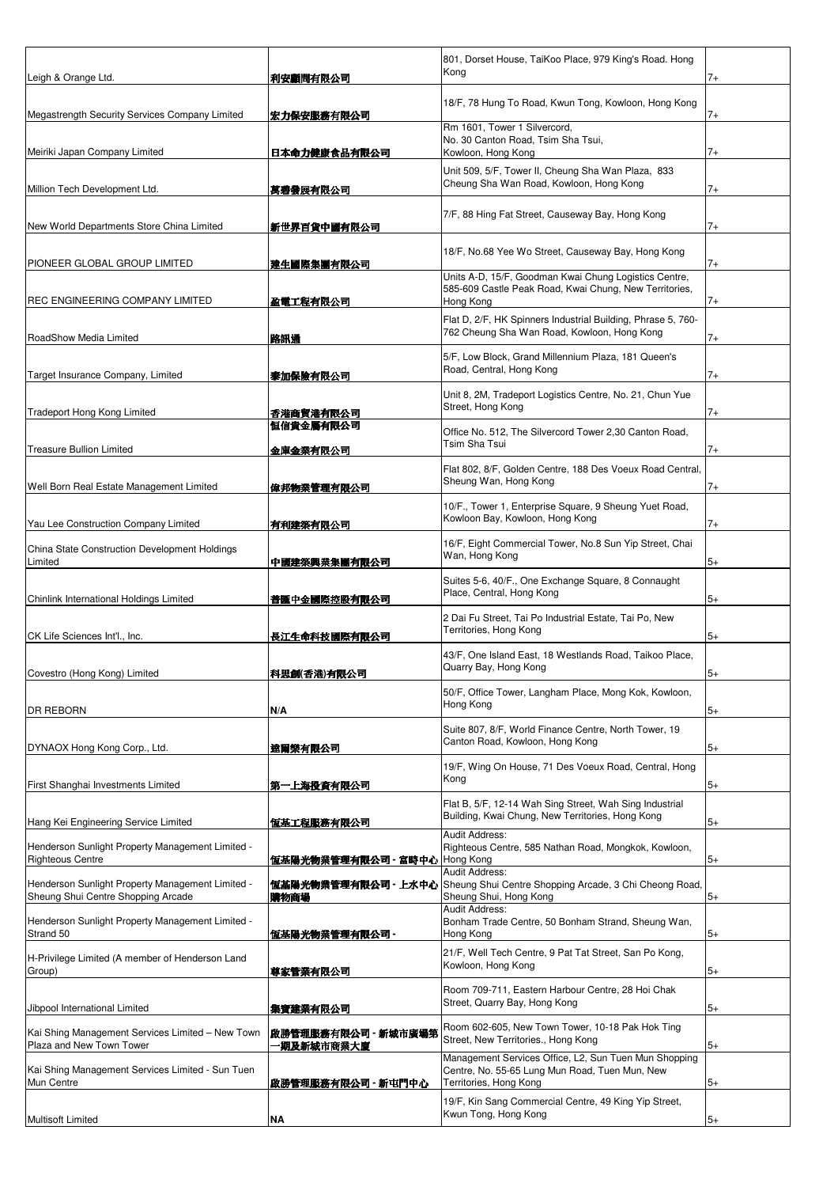|                                                                                        |                                  | 801, Dorset House, TaiKoo Place, 979 King's Road. Hong<br>Kong                                                                    |      |
|----------------------------------------------------------------------------------------|----------------------------------|-----------------------------------------------------------------------------------------------------------------------------------|------|
| Leigh & Orange Ltd.                                                                    | 利安顧問有限公司                         |                                                                                                                                   | $7+$ |
| Megastrength Security Services Company Limited                                         | 宏力保 <b>安服務有限</b> 公司              | 18/F, 78 Hung To Road, Kwun Tong, Kowloon, Hong Kong                                                                              | 7+   |
| Meiriki Japan Company Limited                                                          | <b>日本命力健康食品有限公司</b>              | Rm 1601, Tower 1 Silvercord,<br>No. 30 Canton Road, Tsim Sha Tsui,<br>Kowloon, Hong Kong                                          | $7+$ |
| Million Tech Development Ltd.                                                          |                                  | Unit 509, 5/F, Tower II, Cheung Sha Wan Plaza, 833<br>Cheung Sha Wan Road, Kowloon, Hong Kong                                     | 7+   |
| New World Departments Store China Limited                                              | 萬碧發展有限公司<br>新世界百貨中國有限公司          | 7/F, 88 Hing Fat Street, Causeway Bay, Hong Kong                                                                                  | 7+   |
| PIONEER GLOBAL GROUP LIMITED                                                           | 建生國際集團有限公司                       | 18/F, No.68 Yee Wo Street, Causeway Bay, Hong Kong                                                                                | 7+   |
|                                                                                        |                                  | Units A-D, 15/F, Goodman Kwai Chung Logistics Centre,<br>585-609 Castle Peak Road, Kwai Chung, New Territories,                   |      |
| REC ENGINEERING COMPANY LIMITED                                                        | 盈電工程有限公司                         | Hong Kong                                                                                                                         | 7+   |
| RoadShow Media Limited                                                                 | 降訊通                              | Flat D, 2/F, HK Spinners Industrial Building, Phrase 5, 760-<br>762 Cheung Sha Wan Road, Kowloon, Hong Kong                       | $7+$ |
| Target Insurance Company, Limited                                                      | 泰加保險有限公司                         | 5/F, Low Block, Grand Millennium Plaza, 181 Queen's<br>Road, Central, Hong Kong                                                   | $7+$ |
| <b>Tradeport Hong Kong Limited</b>                                                     | 香港商貿港有限公司                        | Unit 8, 2M, Tradeport Logistics Centre, No. 21, Chun Yue<br>Street, Hong Kong                                                     | 7+   |
| <b>Treasure Bullion Limited</b>                                                        | 恒信貴金屬有限公司<br>金庫金業有限公司            | Office No. 512, The Silvercord Tower 2,30 Canton Road,<br>Tsim Sha Tsui                                                           | $7+$ |
| Well Born Real Estate Management Limited                                               | 偉邦物業管理有限公司                       | Flat 802, 8/F, Golden Centre, 188 Des Voeux Road Central,<br>Sheung Wan, Hong Kong                                                | 7+   |
| Yau Lee Construction Company Limited                                                   | 有利建築有限公司                         | 10/F., Tower 1, Enterprise Square, 9 Sheung Yuet Road,<br>Kowloon Bay, Kowloon, Hong Kong                                         | $7+$ |
| China State Construction Development Holdings<br>Limited                               | 中國建築興業集團有限公司                     | 16/F, Eight Commercial Tower, No.8 Sun Yip Street, Chai<br>Wan, Hong Kong                                                         | $5+$ |
| Chinlink International Holdings Limited                                                | 普匯中金國際控股有限公司                     | Suites 5-6, 40/F., One Exchange Square, 8 Connaught<br>Place, Central, Hong Kong                                                  | $5+$ |
| CK Life Sciences Int'l., Inc.                                                          | 長江生命科技國際有限公司                     | 2 Dai Fu Street, Tai Po Industrial Estate, Tai Po, New<br>Territories, Hong Kong                                                  | $5+$ |
| Covestro (Hong Kong) Limited                                                           | 科思創(香港)有限公司                      | 43/F, One Island East, 18 Westlands Road, Taikoo Place,<br>Quarry Bay, Hong Kong                                                  | $5+$ |
| <b>DR REBORN</b>                                                                       | N/A                              | 50/F, Office Tower, Langham Place, Mong Kok, Kowloon,<br>Hong Kong                                                                | $5+$ |
| DYNAOX Hong Kong Corp., Ltd.                                                           | 達爾樂有限公司                          | Suite 807, 8/F, World Finance Centre, North Tower, 19<br>Canton Road, Kowloon, Hong Kong                                          | $5+$ |
| First Shanghai Investments Limited                                                     | 第一上海投資有限公司                       | 19/F, Wing On House, 71 Des Voeux Road, Central, Hong<br>Kong                                                                     | $5+$ |
| Hang Kei Engineering Service Limited                                                   | 恆基工程服務有限公司                       | Flat B, 5/F, 12-14 Wah Sing Street, Wah Sing Industrial<br>Building, Kwai Chung, New Territories, Hong Kong                       | $5+$ |
| Henderson Sunlight Property Management Limited -<br><b>Righteous Centre</b>            | 恆基陽光物業管理有限公司 - 富時中心  Hong Kong   | Audit Address:<br>Righteous Centre, 585 Nathan Road, Mongkok, Kowloon,                                                            | $5+$ |
| Henderson Sunlight Property Management Limited -<br>Sheung Shui Centre Shopping Arcade | 講物商場                             | Audit Address:<br>恆基陽光物業管理有限公司 - 上水中心 Sheung Shui Centre Shopping Arcade, 3 Chi Cheong Road,<br>Sheung Shui, Hong Kong            | $5+$ |
| Henderson Sunlight Property Management Limited -<br>Strand 50                          | 恆基陽光物業管理有限公司 -                   | Audit Address:<br>Bonham Trade Centre, 50 Bonham Strand, Sheung Wan,<br>Hong Kong                                                 | $5+$ |
| H-Privilege Limited (A member of Henderson Land<br>Group)                              | 尊家管業有限公司                         | 21/F, Well Tech Centre, 9 Pat Tat Street, San Po Kong,<br>Kowloon, Hong Kong                                                      | $5+$ |
| Jibpool International Limited                                                          | 集寶建業有限公司                         | Room 709-711, Eastern Harbour Centre, 28 Hoi Chak<br>Street, Quarry Bay, Hong Kong                                                | $5+$ |
| Kai Shing Management Services Limited - New Town<br>Plaza and New Town Tower           | 啟勝管理服務有限公司 - 新城市廣場第<br>期及新城市商業大廈 | Room 602-605, New Town Tower, 10-18 Pak Hok Ting<br>Street, New Territories., Hong Kong                                           | $5+$ |
| Kai Shing Management Services Limited - Sun Tuen<br>Mun Centre                         | 啟勝管理服務有限公司 - 新屯門中心               | Management Services Office, L2, Sun Tuen Mun Shopping<br>Centre, No. 55-65 Lung Mun Road, Tuen Mun, New<br>Territories, Hong Kong | $5+$ |
| Multisoft Limited                                                                      | NA                               | 19/F, Kin Sang Commercial Centre, 49 King Yip Street,<br>Kwun Tong, Hong Kong                                                     | $5+$ |
|                                                                                        |                                  |                                                                                                                                   |      |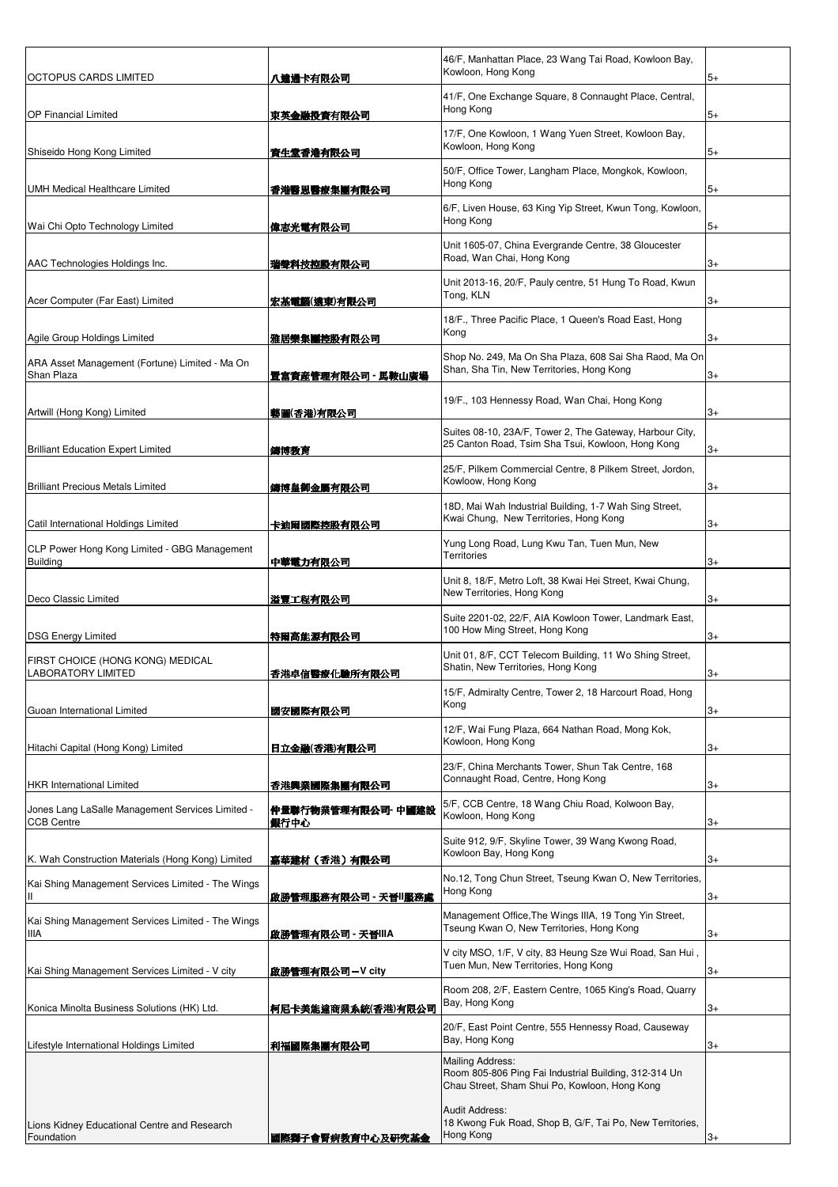| OCTOPUS CARDS LIMITED                                                 | 八達通卡有限公司                   | 46/F, Manhattan Place, 23 Wang Tai Road, Kowloon Bay,<br>Kowloon, Hong Kong                                                       | 5+   |
|-----------------------------------------------------------------------|----------------------------|-----------------------------------------------------------------------------------------------------------------------------------|------|
| <b>OP Financial Limited</b>                                           | 東英令融投資有限公司                 | 41/F, One Exchange Square, 8 Connaught Place, Central,<br>Hong Kong                                                               | 5+   |
| Shiseido Hong Kong Limited                                            | 資生堂香港有限公司                  | 17/F, One Kowloon, 1 Wang Yuen Street, Kowloon Bay,<br>Kowloon, Hong Kong                                                         | 5+   |
| <b>UMH Medical Healthcare Limited</b>                                 | 香港醫思醫療集團有限公司               | 50/F, Office Tower, Langham Place, Mongkok, Kowloon,<br>Hong Kong                                                                 | $5+$ |
| Wai Chi Opto Technology Limited                                       | 偉志光電有限公司                   | 6/F, Liven House, 63 King Yip Street, Kwun Tong, Kowloon,<br>Hong Kong                                                            | 5+   |
| AAC Technologies Holdings Inc.                                        | 瑞聲科技控股有限公司                 | Unit 1605-07, China Evergrande Centre, 38 Gloucester<br>Road, Wan Chai, Hong Kong                                                 | 3+   |
| Acer Computer (Far East) Limited                                      | 宏基電腦(遠東)有限公司               | Unit 2013-16, 20/F, Pauly centre, 51 Hung To Road, Kwun<br>Tong, KLN                                                              | 3+   |
| Agile Group Holdings Limited                                          | 雅居樂集團控股有限公司                | 18/F., Three Pacific Place, 1 Queen's Road East, Hong<br>Kong                                                                     | 3+   |
| ARA Asset Management (Fortune) Limited - Ma On<br>Shan Plaza          | 置富資産管理有限公司 - 馬鞍山廣場         | Shop No. 249, Ma On Sha Plaza, 608 Sai Sha Raod, Ma On<br>Shan, Sha Tin, New Territories, Hong Kong                               | 3+   |
| Artwill (Hong Kong) Limited                                           | 藝圖(香港)有限公司                 | 19/F., 103 Hennessy Road, Wan Chai, Hong Kong                                                                                     | 3+   |
| <b>Brilliant Education Expert Limited</b>                             | 鑄博教育                       | Suites 08-10, 23A/F, Tower 2, The Gateway, Harbour City,<br>25 Canton Road, Tsim Sha Tsui, Kowloon, Hong Kong                     | $3+$ |
| <b>Brilliant Precious Metals Limited</b>                              | 鑄博皇御金屬有限公司                 | 25/F, Pilkem Commercial Centre, 8 Pilkem Street, Jordon,<br>Kowloow, Hong Kong                                                    | 3+   |
| Catil International Holdings Limited                                  | 卡迪爾國際控股有限公司                | 18D, Mai Wah Industrial Building, 1-7 Wah Sing Street,<br>Kwai Chung, New Territories, Hong Kong                                  | 3+   |
| CLP Power Hong Kong Limited - GBG Management<br><b>Building</b>       | 中華電力有限公司                   | Yung Long Road, Lung Kwu Tan, Tuen Mun, New<br><b>Territories</b>                                                                 | 3+   |
| Deco Classic Limited                                                  | 溢豐工程有限公司                   | Unit 8, 18/F, Metro Loft, 38 Kwai Hei Street, Kwai Chung,<br>New Territories, Hong Kong                                           | 3+   |
| <b>DSG Energy Limited</b>                                             | 特爾高能源有限公司                  | Suite 2201-02, 22/F, AIA Kowloon Tower, Landmark East,<br>100 How Ming Street, Hong Kong                                          | 3+   |
| FIRST CHOICE (HONG KONG) MEDICAL<br><b>LABORATORY LIMITED</b>         | 香港卓信警療化驗所有限公司              | Unit 01, 8/F, CCT Telecom Building, 11 Wo Shing Street,<br>Shatin, New Territories, Hong Kong                                     | 3+   |
| Guoan International Limited                                           | 國安國際有限公司                   | 15/F, Admiralty Centre, Tower 2, 18 Harcourt Road, Hong<br>Kong                                                                   | 3+   |
| Hitachi Capital (Hong Kong) Limited                                   | 日立金融(香港)有限公司               | 12/F, Wai Fung Plaza, 664 Nathan Road, Mong Kok,<br>Kowloon, Hong Kong                                                            | 3+   |
| <b>HKR</b> International Limited                                      | 香港興業國際集團有限公司               | 23/F, China Merchants Tower, Shun Tak Centre, 168<br>Connaught Road, Centre, Hong Kong                                            | 3+   |
| Jones Lang LaSalle Management Services Limited -<br><b>CCB Centre</b> | 仲量聯行物業管理有限公司- 中國建設<br>銀行中心 | 5/F, CCB Centre, 18 Wang Chiu Road, Kolwoon Bay,<br>Kowloon, Hong Kong                                                            | 3+   |
| K. Wah Construction Materials (Hong Kong) Limited                     | 嘉華建材(香港)有限公司               | Suite 912, 9/F, Skyline Tower, 39 Wang Kwong Road,<br>Kowloon Bay, Hong Kong                                                      | 3+   |
| Kai Shing Management Services Limited - The Wings                     | 啟勝管理服務有限公司 - 天晉  服務處       | No.12, Tong Chun Street, Tseung Kwan O, New Territories,<br>Hong Kong                                                             | 3+   |
| Kai Shing Management Services Limited - The Wings<br><b>IIIA</b>      | 啟勝管理有限公司 - 天晉IIIA          | Management Office, The Wings IIIA, 19 Tong Yin Street,<br>Tseung Kwan O, New Territories, Hong Kong                               | 3+   |
| Kai Shing Management Services Limited - V city                        | 啟勝管理有限公司-V city            | V city MSO, 1/F, V city, 83 Heung Sze Wui Road, San Hui,<br>Tuen Mun, New Territories, Hong Kong                                  | 3+   |
| Konica Minolta Business Solutions (HK) Ltd.                           | 柯尼卡美能達商業系統(香港)有限公司         | Room 208, 2/F, Eastern Centre, 1065 King's Road, Quarry<br>Bay, Hong Kong                                                         | 3+   |
| Lifestyle International Holdings Limited                              | 利福國際集團有限公司                 | 20/F, East Point Centre, 555 Hennessy Road, Causeway<br>Bay, Hong Kong                                                            | 3+   |
|                                                                       |                            | <b>Mailing Address:</b><br>Room 805-806 Ping Fai Industrial Building, 312-314 Un<br>Chau Street, Sham Shui Po, Kowloon, Hong Kong |      |
| Lions Kidney Educational Centre and Research<br>Foundation            | 國際獅子會腎病教育中心及研究基金           | Audit Address:<br>18 Kwong Fuk Road, Shop B, G/F, Tai Po, New Territories,<br>Hong Kong                                           | 3+   |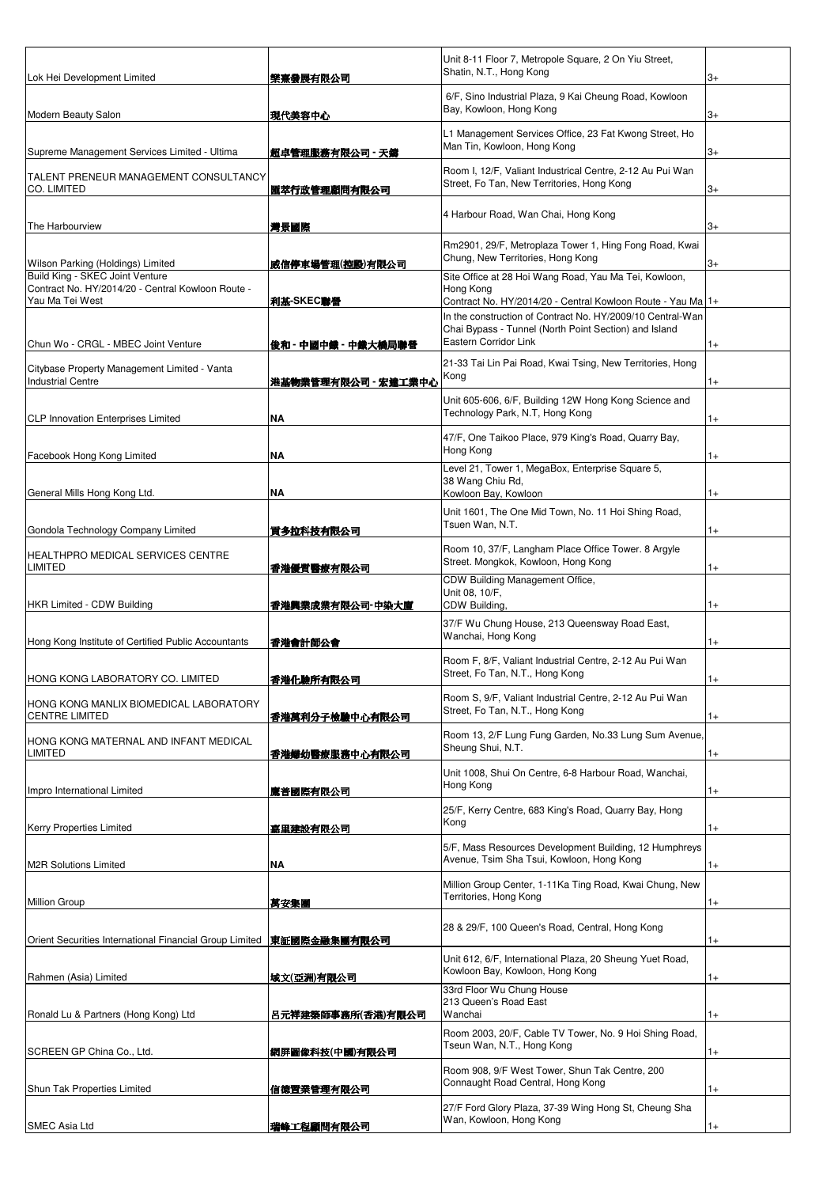| Lok Hei Development Limited                                                                             | 樂熹發展有限公司               | Unit 8-11 Floor 7, Metropole Square, 2 On Yiu Street,<br>Shatin, N.T., Hong Kong                                                             | 3+           |
|---------------------------------------------------------------------------------------------------------|------------------------|----------------------------------------------------------------------------------------------------------------------------------------------|--------------|
| Modern Beauty Salon                                                                                     | 現代美容中心                 | 6/F, Sino Industrial Plaza, 9 Kai Cheung Road, Kowloon<br>Bay, Kowloon, Hong Kong                                                            | 3+           |
| Supreme Management Services Limited - Ultima                                                            | 超卓管理服務有限公司 - 天鑄        | L1 Management Services Office, 23 Fat Kwong Street, Ho<br>Man Tin, Kowloon, Hong Kong                                                        | 3+           |
| TALENT PRENEUR MANAGEMENT CONSULTANCY<br><b>CO. LIMITED</b>                                             | 匯萃行政管理顧問有限公司           | Room I, 12/F, Valiant Industrical Centre, 2-12 Au Pui Wan<br>Street, Fo Tan, New Territories, Hong Kong                                      | 3+           |
| The Harbourview                                                                                         | 灣景國際                   | 4 Harbour Road, Wan Chai, Hong Kong                                                                                                          | 3+           |
| Wilson Parking (Holdings) Limited                                                                       | 威信停車場管理(控股)有限公司        | Rm2901, 29/F, Metroplaza Tower 1, Hing Fong Road, Kwai<br>Chung, New Territories, Hong Kong                                                  | 3+           |
| Build King - SKEC Joint Venture<br>Contract No. HY/2014/20 - Central Kowloon Route -<br>Yau Ma Tei West | 利基-SKEC聯營              | Site Office at 28 Hoi Wang Road, Yau Ma Tei, Kowloon,<br>Hong Kong<br>Contract No. HY/2014/20 - Central Kowloon Route - Yau Ma   1+          |              |
|                                                                                                         |                        | In the construction of Contract No. HY/2009/10 Central-Wan<br>Chai Bypass - Tunnel (North Point Section) and Island<br>Eastern Corridor Link |              |
| Chun Wo - CRGL - MBEC Joint Venture<br>Citybase Property Management Limited - Vanta                     | 俊和 - 中國中鐵 - 中鐵大橋局聯營    | 21-33 Tai Lin Pai Road, Kwai Tsing, New Territories, Hong<br>Kong                                                                            | $1+$         |
| <b>Industrial Centre</b>                                                                                | 港基物業管理有限公司 - 宏達工業中心    | Unit 605-606, 6/F, Building 12W Hong Kong Science and<br>Technology Park, N.T, Hong Kong                                                     | $1+$         |
| <b>CLP Innovation Enterprises Limited</b>                                                               | <b>NA</b><br><b>NA</b> | 47/F, One Taikoo Place, 979 King's Road, Quarry Bay,<br>Hong Kong                                                                            | $1+$<br>$1+$ |
| Facebook Hong Kong Limited<br>General Mills Hong Kong Ltd.                                              | <b>NA</b>              | Level 21, Tower 1, MegaBox, Enterprise Square 5,<br>38 Wang Chiu Rd,<br>Kowloon Bay, Kowloon                                                 | $1+$         |
| Gondola Technology Company Limited                                                                      | 貢多拉科技有限公司              | Unit 1601, The One Mid Town, No. 11 Hoi Shing Road,<br>Tsuen Wan, N.T.                                                                       | $1+$         |
| HEALTHPRO MEDICAL SERVICES CENTRE<br><b>LIMITED</b>                                                     | 香港優質醫療有限公司             | Room 10, 37/F, Langham Place Office Tower. 8 Argyle<br>Street. Mongkok, Kowloon, Hong Kong                                                   | $1+$         |
| <b>HKR Limited - CDW Building</b>                                                                       | 香港興業成業有限公司-中染大廈        | CDW Building Management Office,<br>Unit 08, 10/F,<br>CDW Building.                                                                           | $1+$         |
| Hong Kong Institute of Certified Public Accountants                                                     | 香港會計師公會                | 37/F Wu Chung House, 213 Queensway Road East,<br>Wanchai, Hong Kong                                                                          | $1+$         |
| HONG KONG LABORATORY CO. LIMITED                                                                        | 香港化驗所有限公司              | Room F, 8/F, Valiant Industrial Centre, 2-12 Au Pui Wan<br>Street, Fo Tan, N.T., Hong Kong                                                   |              |
| HONG KONG MANLIX BIOMEDICAL LABORATORY<br><b>CENTRE LIMITED</b>                                         | 香港萬利分子檢驗中心有限公司         | Room S, 9/F, Valiant Industrial Centre, 2-12 Au Pui Wan<br>Street, Fo Tan, N.T., Hong Kong                                                   | $1+$         |
| HONG KONG MATERNAL AND INFANT MEDICAL<br>LIMITED                                                        | 香港婦幼醫療服務中心有限公司         | Room 13, 2/F Lung Fung Garden, No.33 Lung Sum Avenue,<br>Sheung Shui, N.T.                                                                   | $1+$         |
| Impro International Limited                                                                             | 鷹普國際有限公司               | Unit 1008, Shui On Centre, 6-8 Harbour Road, Wanchai,<br>Hong Kong                                                                           | $1+$         |
| <b>Kerry Properties Limited</b>                                                                         | 嘉里建設有限公司               | 25/F, Kerry Centre, 683 King's Road, Quarry Bay, Hong<br>Kong                                                                                | $1+$         |
| <b>M2R Solutions Limited</b>                                                                            | NA                     | 5/F, Mass Resources Development Building, 12 Humphreys<br>Avenue, Tsim Sha Tsui, Kowloon, Hong Kong                                          | $1+$         |
| <b>Million Group</b>                                                                                    | 萬安集團                   | Million Group Center, 1-11Ka Ting Road, Kwai Chung, New<br>Territories, Hong Kong                                                            | $1+$         |
| Orient Securities International Financial Group Limited                                                 | 東証國際金融集團有限公司           | 28 & 29/F, 100 Queen's Road, Central, Hong Kong                                                                                              | $1+$         |
| Rahmen (Asia) Limited                                                                                   | 域文(亞洲)有限公司             | Unit 612, 6/F, International Plaza, 20 Sheung Yuet Road,<br>Kowloon Bay, Kowloon, Hong Kong<br>33rd Floor Wu Chung House                     | $1+$         |
| Ronald Lu & Partners (Hong Kong) Ltd                                                                    | 呂元祥建築師事務所(香港)有限公司      | 213 Queen's Road East<br>Wanchai                                                                                                             | $1+$         |
| SCREEN GP China Co., Ltd.                                                                               | 網屏圖像科技(中國)有限公司         | Room 2003, 20/F, Cable TV Tower, No. 9 Hoi Shing Road,<br>Tseun Wan, N.T., Hong Kong                                                         | $1+$         |
| Shun Tak Properties Limited                                                                             | 信德置業管理有限公司             | Room 908, 9/F West Tower, Shun Tak Centre, 200<br>Connaught Road Central, Hong Kong                                                          | $1+$         |
| <b>SMEC Asia Ltd</b>                                                                                    | 瑞峰工程顧問有限公司             | 27/F Ford Glory Plaza, 37-39 Wing Hong St, Cheung Sha<br>Wan, Kowloon, Hong Kong                                                             | $1+$         |